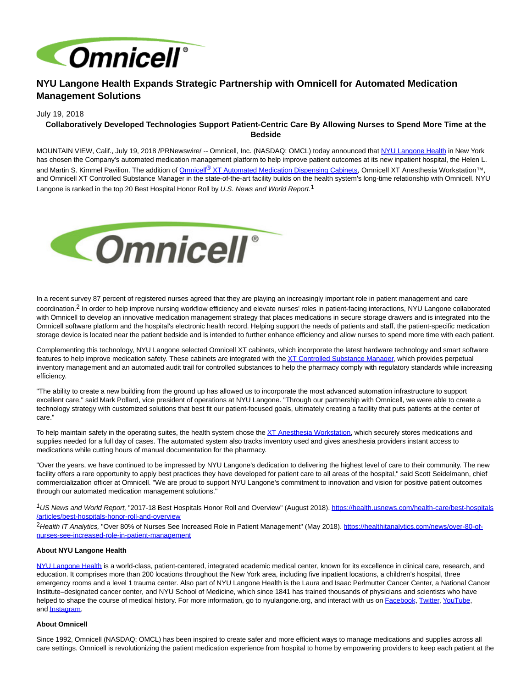

# **NYU Langone Health Expands Strategic Partnership with Omnicell for Automated Medication Management Solutions**

### July 19, 2018

## **Collaboratively Developed Technologies Support Patient-Centric Care By Allowing Nurses to Spend More Time at the Bedside**

MOUNTAIN VIEW, Calif., July 19, 2018 /PRNewswire/ -- Omnicell, Inc. (NASDAQ: OMCL) today announced that [NYU Langone Health i](http://www.nyulangone.org/)n New York has chosen the Company's automated medication management platform to help improve patient outcomes at its new inpatient hospital, the Helen L. and Martin S. Kimmel Pavilion. The addition of Omnicell<sup>®</sup> [XT Automated Medication Dispensing Cabinets,](https://www.omnicell.com/Products/Medication_Dispensing/Automated_Medication_Dispensing/Omnicell_XT_Automated_Dispensing_Cabinets.aspx) Omnicell XT Anesthesia Workstation™, and Omnicell XT Controlled Substance Manager in the state-of-the-art facility builds on the health system's long-time relationship with Omnicell. NYU Langone is ranked in the top 20 Best Hospital Honor Roll by U.S. News and World Report.<sup>1</sup>



In a recent survey 87 percent of registered nurses agreed that they are playing an increasingly important role in patient management and care coordination.2 In order to help improve nursing workflow efficiency and elevate nurses' roles in patient-facing interactions, NYU Langone collaborated with Omnicell to develop an innovative medication management strategy that places medications in secure storage drawers and is integrated into the Omnicell software platform and the hospital's electronic health record. Helping support the needs of patients and staff, the patient-specific medication storage device is located near the patient bedside and is intended to further enhance efficiency and allow nurses to spend more time with each patient.

Complementing this technology, NYU Langone selected Omnicell XT cabinets, which incorporate the latest hardware technology and smart software features to help improve medication safety. These cabinets are integrated with th[e XT Controlled Substance Manager,](https://www.omnicell.com/Products/Pharmacy_Automation/Narcotics_Management/Controlled_Substance_Manager.aspx) which provides perpetual inventory management and an automated audit trail for controlled substances to help the pharmacy comply with regulatory standards while increasing efficiency.

"The ability to create a new building from the ground up has allowed us to incorporate the most advanced automation infrastructure to support excellent care," said Mark Pollard, vice president of operations at NYU Langone. "Through our partnership with Omnicell, we were able to create a technology strategy with customized solutions that best fit our patient-focused goals, ultimately creating a facility that puts patients at the center of care."

To help maintain safety in the operating suites, the health system chose the [XT Anesthesia Workstation,](https://www.omnicell.com/Products/Medication_Dispensing/Anesthesia/XT_Anesthesia_Workstation.aspx) which securely stores medications and supplies needed for a full day of cases. The automated system also tracks inventory used and gives anesthesia providers instant access to medications while cutting hours of manual documentation for the pharmacy.

"Over the years, we have continued to be impressed by NYU Langone's dedication to delivering the highest level of care to their community. The new facility offers a rare opportunity to apply best practices they have developed for patient care to all areas of the hospital," said Scott Seidelmann, chief commercialization officer at Omnicell. "We are proud to support NYU Langone's commitment to innovation and vision for positive patient outcomes through our automated medication management solutions."

<sup>1</sup>US News and World Report, "2017-18 Best Hospitals Honor Roll and Overview" (August 2018). [https://health.usnews.com/health-care/best-hospitals](https://health.usnews.com/health-care/best-hospitals/articles/best-hospitals-honor-roll-and-overview) /articles/best-hospitals-honor-roll-and-overview

<sup>2</sup>Health IT Analytics, "Over 80% of Nurses See Increased Role in Patient Management" (May 2018). [https://healthitanalytics.com/news/over-80-of](https://healthitanalytics.com/news/over-80-of-nurses-see-increased-role-in-patient-management)nurses-see-increased-role-in-patient-management

### **About NYU Langone Health**

[NYU Langone Health i](http://nyulangone.org/)s a world-class, patient-centered, integrated academic medical center, known for its excellence in clinical care, research, and education. It comprises more than 200 locations throughout the New York area, including five inpatient locations, a children's hospital, three emergency rooms and a level 1 trauma center. Also part of NYU Langone Health is the Laura and Isaac Perlmutter Cancer Center, a National Cancer Institute–designated cancer center, and NYU School of Medicine, which since 1841 has trained thousands of physicians and scientists who have helped to shape the course of medical history. For more information, go to nyulangone.org, and interact with us on **Facebook**, [Twitter,](http://twitter.com/nyulangone) [YouTube,](https://www.youtube.com/user/nyulmc) an[d Instagram.](http://instagram.com/nyulangone)

### **About Omnicell**

Since 1992, Omnicell (NASDAQ: OMCL) has been inspired to create safer and more efficient ways to manage medications and supplies across all care settings. Omnicell is revolutionizing the patient medication experience from hospital to home by empowering providers to keep each patient at the